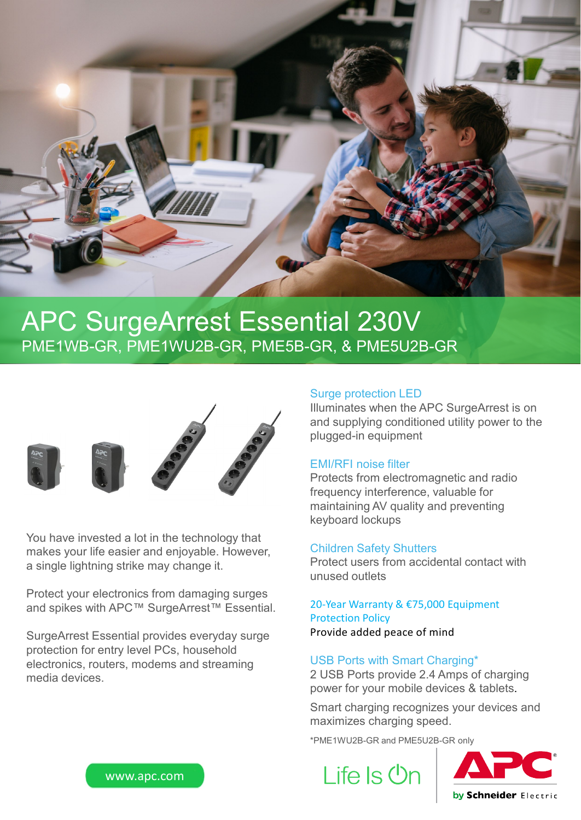

## APC SurgeArrest Essential 230V PME1WB-GR, PME1WU2B-GR, PME5B-GR, & PME5U2B-GR



You have invested a lot in the technology that makes your life easier and enjoyable. However, a single lightning strike may change it.

Protect your electronics from damaging surges and spikes with APC™ SurgeArrest™ Essential.

SurgeArrest Essential provides everyday surge protection for entry level PCs, household electronics, routers, modems and streaming media devices.

#### Surge protection LED

Illuminates when the APC SurgeArrest is on and supplying conditioned utility power to the plugged-in equipment

### EMI/RFI noise filter

Protects from electromagnetic and radio frequency interference, valuable for maintaining AV quality and preventing keyboard lockups

#### Children Safety Shutters

Protect users from accidental contact with unused outlets

#### 20-Year Warranty & €75,000 Equipment Protection Policy Provide added peace of mind

#### USB Ports with Smart Charging\*

2 USB Ports provide 2.4 Amps of charging power for your mobile devices & tablets.

Smart charging recognizes your devices and maximizes charging speed.

\*PME1WU2B-GR and PME5U2B-GR only

Life Is Un